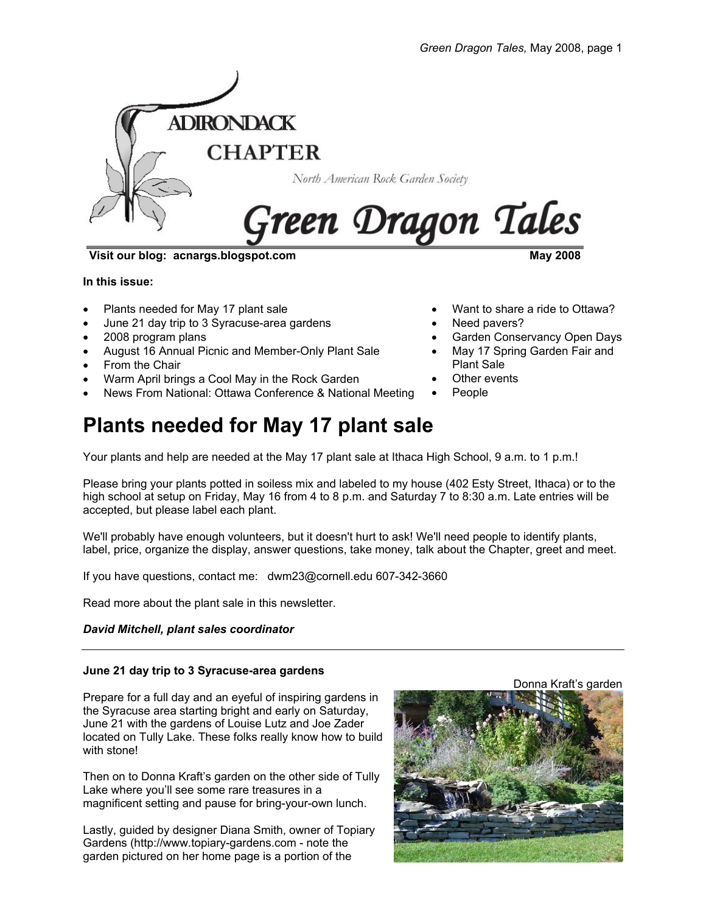

**Visit our blog: acnargs.blogspot.com May 2008** 

**In this issue:** 

- Plants needed for May 17 plant sale
- June 21 day trip to 3 Syracuse-area gardens
- 2008 program plans
- August 16 Annual Picnic and Member-Only Plant Sale
- From the Chair
- Warm April brings a Cool May in the Rock Garden
- News From National: Ottawa Conference & National Meeting

# **Plants needed for May 17 plant sale**

Your plants and help are needed at the May 17 plant sale at Ithaca High School, 9 a.m. to 1 p.m.!

Please bring your plants potted in soiless mix and labeled to my house (402 Esty Street, Ithaca) or to the high school at setup on Friday, May 16 from 4 to 8 p.m. and Saturday 7 to 8:30 a.m. Late entries will be accepted, but please label each plant.

We'll probably have enough volunteers, but it doesn't hurt to ask! We'll need people to identify plants, label, price, organize the display, answer questions, take money, talk about the Chapter, greet and meet.

If you have questions, contact me: dwm23@cornell.edu 607-342-3660

Read more about the plant sale in this newsletter.

#### *David Mitchell, plant sales coordinator*

#### **June 21 day trip to 3 Syracuse-area gardens**

Prepare for a full day and an eyeful of inspiring gardens in the Syracuse area starting bright and early on Saturday, June 21 with the gardens of Louise Lutz and Joe Zader located on Tully Lake. These folks really know how to build with stone!

Then on to Donna Kraft's garden on the other side of Tully Lake where you'll see some rare treasures in a magnificent setting and pause for bring-your-own lunch.

Lastly, guided by designer Diana Smith, owner of Topiary Gardens (http://www.topiary-gardens.com - note the garden pictured on her home page is a portion of the



Donna Kraft's garden

- Want to share a ride to Ottawa?
- Need pavers?
- Garden Conservancy Open Days
- May 17 Spring Garden Fair and Plant Sale
- Other events
- People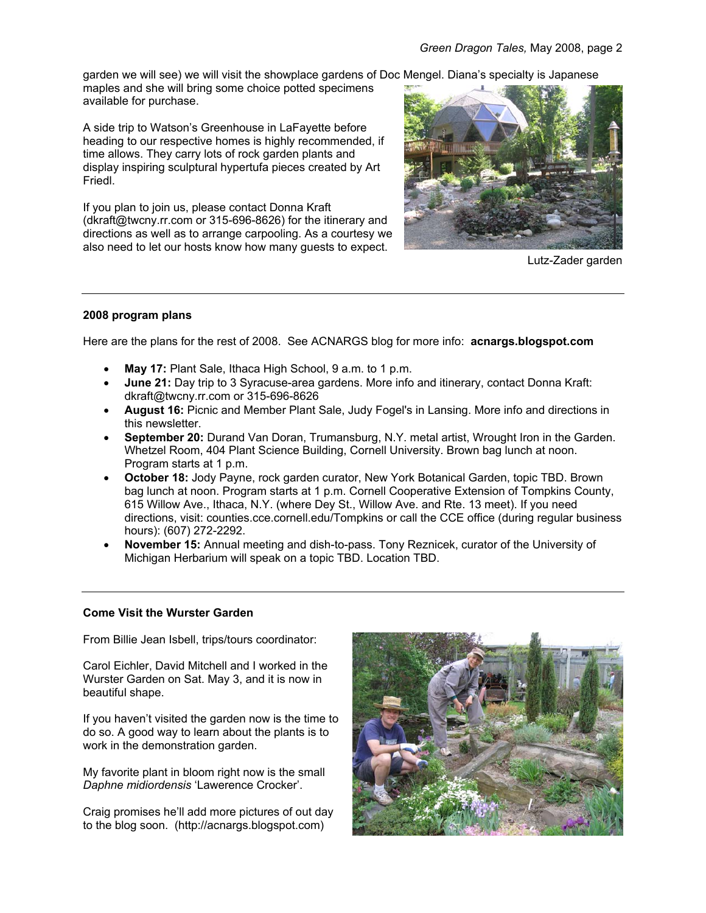garden we will see) we will visit the showplace gardens of Doc Mengel. Diana's specialty is Japanese

maples and she will bring some choice potted specimens available for purchase.

A side trip to Watson's Greenhouse in LaFayette before heading to our respective homes is highly recommended, if time allows. They carry lots of rock garden plants and display inspiring sculptural hypertufa pieces created by Art Friedl.

If you plan to join us, please contact Donna Kraft (dkraft@twcny.rr.com or 315-696-8626) for the itinerary and directions as well as to arrange carpooling. As a courtesy we also need to let our hosts know how many guests to expect.



Lutz-Zader garden

## **2008 program plans**

Here are the plans for the rest of 2008. See ACNARGS blog for more info: **acnargs.blogspot.com**

- **May 17:** Plant Sale, Ithaca High School, 9 a.m. to 1 p.m.
- **June 21:** Day trip to 3 Syracuse-area gardens. More info and itinerary, contact Donna Kraft: dkraft@twcny.rr.com or 315-696-8626
- **August 16:** Picnic and Member Plant Sale, Judy Fogel's in Lansing. More info and directions in this newsletter.
- **September 20:** Durand Van Doran, Trumansburg, N.Y. metal artist, Wrought Iron in the Garden. Whetzel Room, 404 Plant Science Building, Cornell University. Brown bag lunch at noon. Program starts at 1 p.m.
- **October 18:** Jody Payne, rock garden curator, New York Botanical Garden, topic TBD. Brown bag lunch at noon. Program starts at 1 p.m. Cornell Cooperative Extension of Tompkins County, 615 Willow Ave., Ithaca, N.Y. (where Dey St., Willow Ave. and Rte. 13 meet). If you need directions, visit: counties.cce.cornell.edu/Tompkins or call the CCE office (during regular business hours): (607) 272-2292.
- **November 15:** Annual meeting and dish-to-pass. Tony Reznicek, curator of the University of Michigan Herbarium will speak on a topic TBD. Location TBD.

#### **Come Visit the Wurster Garden**

From Billie Jean Isbell, trips/tours coordinator:

Carol Eichler, David Mitchell and I worked in the Wurster Garden on Sat. May 3, and it is now in beautiful shape.

If you haven't visited the garden now is the time to do so. A good way to learn about the plants is to work in the demonstration garden.

My favorite plant in bloom right now is the small *Daphne midiordensis* 'Lawerence Crocker'.

Craig promises he'll add more pictures of out day to the blog soon. (http://acnargs.blogspot.com)

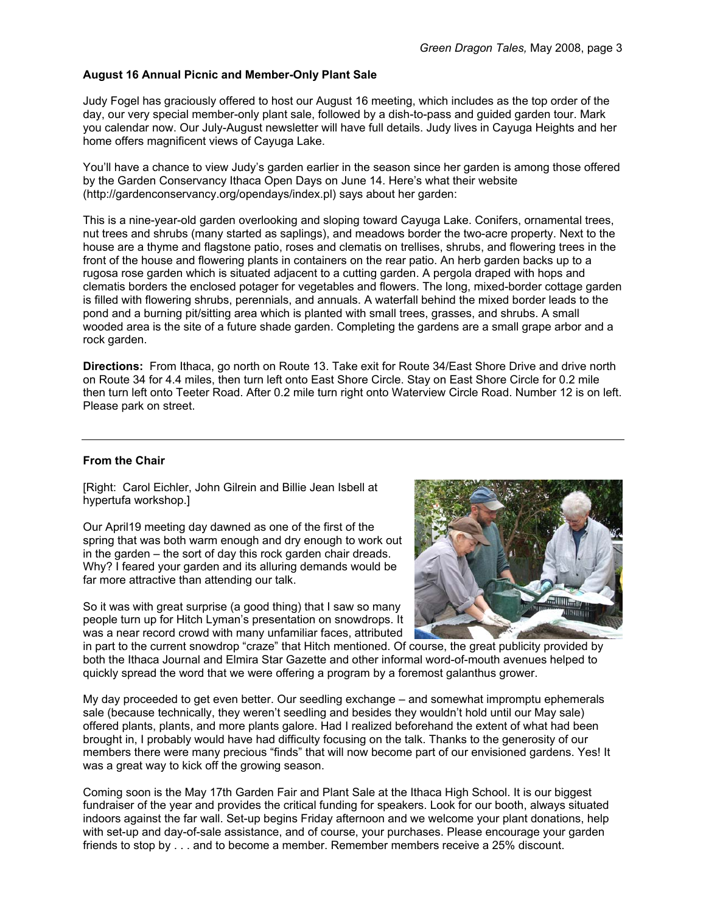## **August 16 Annual Picnic and Member-Only Plant Sale**

Judy Fogel has graciously offered to host our August 16 meeting, which includes as the top order of the day, our very special member-only plant sale, followed by a dish-to-pass and guided garden tour. Mark you calendar now. Our July-August newsletter will have full details. Judy lives in Cayuga Heights and her home offers magnificent views of Cayuga Lake.

You'll have a chance to view Judy's garden earlier in the season since her garden is among those offered by the Garden Conservancy Ithaca Open Days on June 14. Here's what their website (http://gardenconservancy.org/opendays/index.pl) says about her garden:

This is a nine-year-old garden overlooking and sloping toward Cayuga Lake. Conifers, ornamental trees, nut trees and shrubs (many started as saplings), and meadows border the two-acre property. Next to the house are a thyme and flagstone patio, roses and clematis on trellises, shrubs, and flowering trees in the front of the house and flowering plants in containers on the rear patio. An herb garden backs up to a rugosa rose garden which is situated adjacent to a cutting garden. A pergola draped with hops and clematis borders the enclosed potager for vegetables and flowers. The long, mixed-border cottage garden is filled with flowering shrubs, perennials, and annuals. A waterfall behind the mixed border leads to the pond and a burning pit/sitting area which is planted with small trees, grasses, and shrubs. A small wooded area is the site of a future shade garden. Completing the gardens are a small grape arbor and a rock garden.

**Directions:** From Ithaca, go north on Route 13. Take exit for Route 34/East Shore Drive and drive north on Route 34 for 4.4 miles, then turn left onto East Shore Circle. Stay on East Shore Circle for 0.2 mile then turn left onto Teeter Road. After 0.2 mile turn right onto Waterview Circle Road. Number 12 is on left. Please park on street.

#### **From the Chair**

[Right: Carol Eichler, John Gilrein and Billie Jean Isbell at hypertufa workshop.]

Our April19 meeting day dawned as one of the first of the spring that was both warm enough and dry enough to work out in the garden – the sort of day this rock garden chair dreads. Why? I feared your garden and its alluring demands would be far more attractive than attending our talk.

So it was with great surprise (a good thing) that I saw so many people turn up for Hitch Lyman's presentation on snowdrops. It was a near record crowd with many unfamiliar faces, attributed



in part to the current snowdrop "craze" that Hitch mentioned. Of course, the great publicity provided by both the Ithaca Journal and Elmira Star Gazette and other informal word-of-mouth avenues helped to quickly spread the word that we were offering a program by a foremost galanthus grower.

My day proceeded to get even better. Our seedling exchange – and somewhat impromptu ephemerals sale (because technically, they weren't seedling and besides they wouldn't hold until our May sale) offered plants, plants, and more plants galore. Had I realized beforehand the extent of what had been brought in, I probably would have had difficulty focusing on the talk. Thanks to the generosity of our members there were many precious "finds" that will now become part of our envisioned gardens. Yes! It was a great way to kick off the growing season.

Coming soon is the May 17th Garden Fair and Plant Sale at the Ithaca High School. It is our biggest fundraiser of the year and provides the critical funding for speakers. Look for our booth, always situated indoors against the far wall. Set-up begins Friday afternoon and we welcome your plant donations, help with set-up and day-of-sale assistance, and of course, your purchases. Please encourage your garden friends to stop by . . . and to become a member. Remember members receive a 25% discount.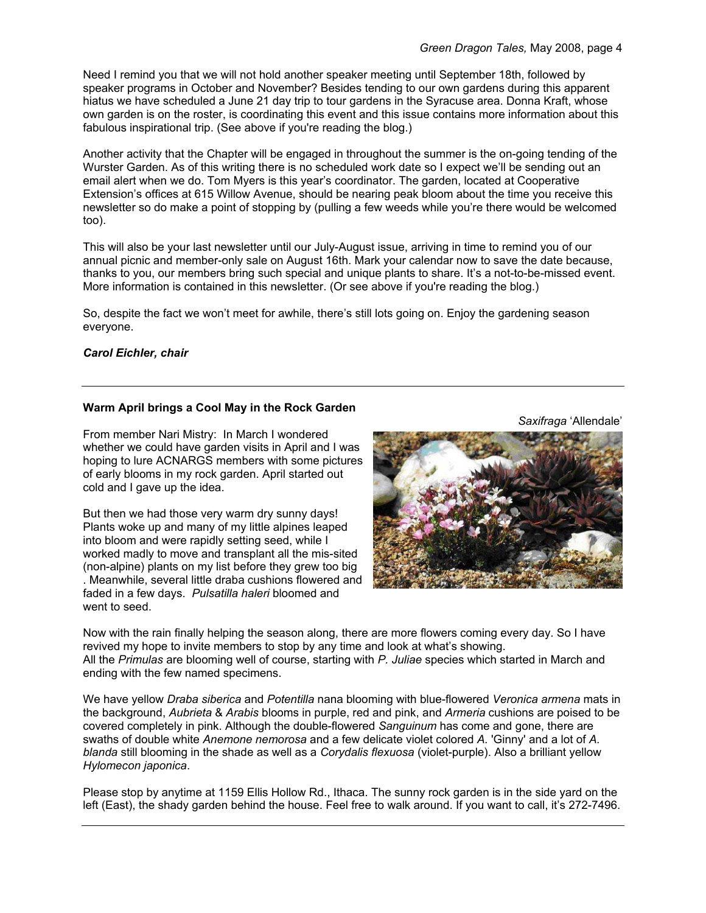Need I remind you that we will not hold another speaker meeting until September 18th, followed by speaker programs in October and November? Besides tending to our own gardens during this apparent hiatus we have scheduled a June 21 day trip to tour gardens in the Syracuse area. Donna Kraft, whose own garden is on the roster, is coordinating this event and this issue contains more information about this fabulous inspirational trip. (See above if you're reading the blog.)

Another activity that the Chapter will be engaged in throughout the summer is the on-going tending of the Wurster Garden. As of this writing there is no scheduled work date so I expect we'll be sending out an email alert when we do. Tom Myers is this year's coordinator. The garden, located at Cooperative Extension's offices at 615 Willow Avenue, should be nearing peak bloom about the time you receive this newsletter so do make a point of stopping by (pulling a few weeds while you're there would be welcomed too).

This will also be your last newsletter until our July-August issue, arriving in time to remind you of our annual picnic and member-only sale on August 16th. Mark your calendar now to save the date because, thanks to you, our members bring such special and unique plants to share. It's a not-to-be-missed event. More information is contained in this newsletter. (Or see above if you're reading the blog.)

So, despite the fact we won't meet for awhile, there's still lots going on. Enjoy the gardening season everyone.

## *Carol Eichler, chair*

## **Warm April brings a Cool May in the Rock Garden**

From member Nari Mistry: In March I wondered whether we could have garden visits in April and I was hoping to lure ACNARGS members with some pictures of early blooms in my rock garden. April started out cold and I gave up the idea.

But then we had those very warm dry sunny days! Plants woke up and many of my little alpines leaped into bloom and were rapidly setting seed, while I worked madly to move and transplant all the mis-sited (non-alpine) plants on my list before they grew too big . Meanwhile, several little draba cushions flowered and faded in a few days. *Pulsatilla haleri* bloomed and went to seed.

*Saxifraga* 'Allendale'



Now with the rain finally helping the season along, there are more flowers coming every day. So I have revived my hope to invite members to stop by any time and look at what's showing. All the *Primulas* are blooming well of course, starting with *P. Juliae* species which started in March and ending with the few named specimens.

We have yellow *Draba siberica* and *Potentilla* nana blooming with blue-flowered *Veronica armena* mats in the background, *Aubrieta* & *Arabis* blooms in purple, red and pink, and *Armeria* cushions are poised to be covered completely in pink. Although the double-flowered *Sanguinum* has come and gone, there are swaths of double white *Anemone nemorosa* and a few delicate violet colored *A.* 'Ginny' and a lot of *A. blanda* still blooming in the shade as well as a *Corydalis flexuosa* (violet-purple). Also a brilliant yellow *Hylomecon japonica*.

Please stop by anytime at 1159 Ellis Hollow Rd., Ithaca. The sunny rock garden is in the side yard on the left (East), the shady garden behind the house. Feel free to walk around. If you want to call, it's 272-7496.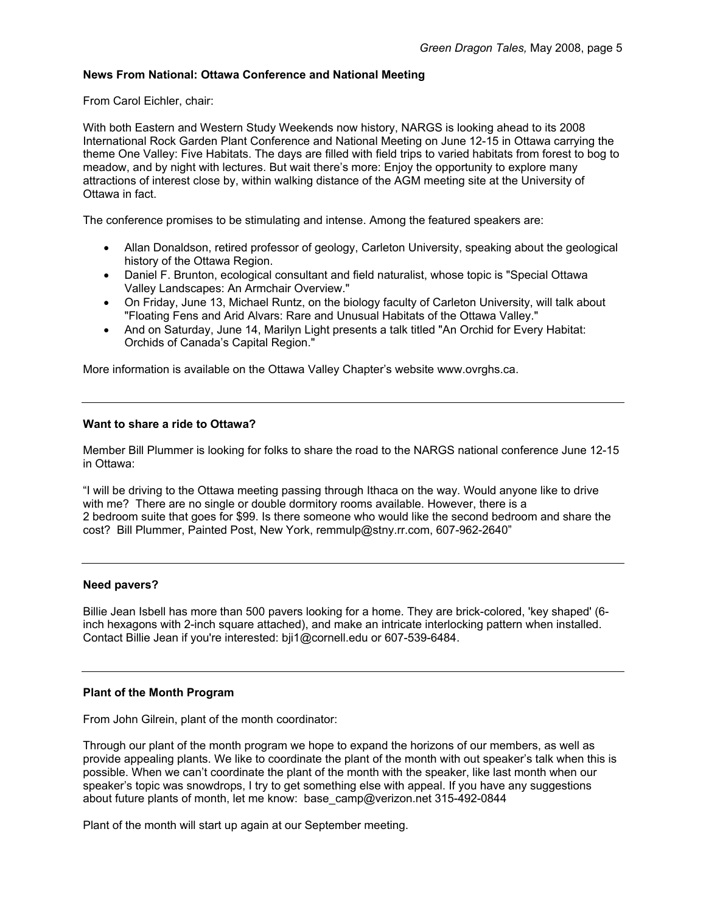#### **News From National: Ottawa Conference and National Meeting**

From Carol Eichler, chair:

With both Eastern and Western Study Weekends now history, NARGS is looking ahead to its 2008 International Rock Garden Plant Conference and National Meeting on June 12-15 in Ottawa carrying the theme One Valley: Five Habitats. The days are filled with field trips to varied habitats from forest to bog to meadow, and by night with lectures. But wait there's more: Enjoy the opportunity to explore many attractions of interest close by, within walking distance of the AGM meeting site at the University of Ottawa in fact.

The conference promises to be stimulating and intense. Among the featured speakers are:

- Allan Donaldson, retired professor of geology, Carleton University, speaking about the geological history of the Ottawa Region.
- Daniel F. Brunton, ecological consultant and field naturalist, whose topic is "Special Ottawa Valley Landscapes: An Armchair Overview."
- On Friday, June 13, Michael Runtz, on the biology faculty of Carleton University, will talk about "Floating Fens and Arid Alvars: Rare and Unusual Habitats of the Ottawa Valley."
- And on Saturday, June 14, Marilyn Light presents a talk titled "An Orchid for Every Habitat: Orchids of Canada's Capital Region."

More information is available on the Ottawa Valley Chapter's website www.ovrghs.ca.

#### **Want to share a ride to Ottawa?**

Member Bill Plummer is looking for folks to share the road to the NARGS national conference June 12-15 in Ottawa:

"I will be driving to the Ottawa meeting passing through Ithaca on the way. Would anyone like to drive with me? There are no single or double dormitory rooms available. However, there is a 2 bedroom suite that goes for \$99. Is there someone who would like the second bedroom and share the cost? Bill Plummer, Painted Post, New York, remmulp@stny.rr.com, 607-962-2640"

#### **Need pavers?**

Billie Jean Isbell has more than 500 pavers looking for a home. They are brick-colored, 'key shaped' (6 inch hexagons with 2-inch square attached), and make an intricate interlocking pattern when installed. Contact Billie Jean if you're interested: bji1@cornell.edu or 607-539-6484.

#### **Plant of the Month Program**

From John Gilrein, plant of the month coordinator:

Through our plant of the month program we hope to expand the horizons of our members, as well as provide appealing plants. We like to coordinate the plant of the month with out speaker's talk when this is possible. When we can't coordinate the plant of the month with the speaker, like last month when our speaker's topic was snowdrops, I try to get something else with appeal. If you have any suggestions about future plants of month, let me know: base\_camp@verizon.net 315-492-0844

Plant of the month will start up again at our September meeting.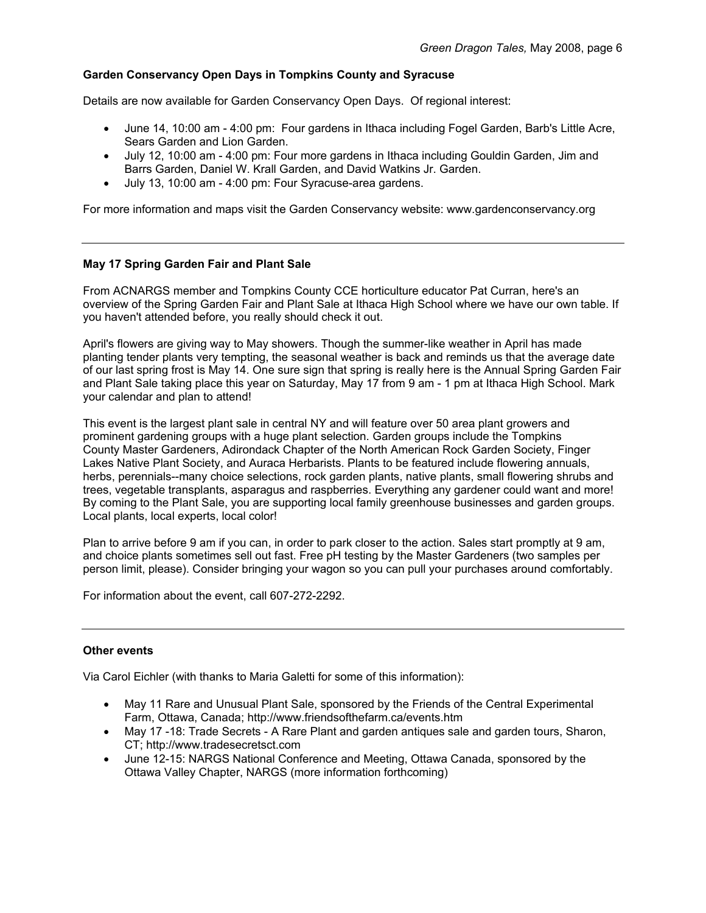## **Garden Conservancy Open Days in Tompkins County and Syracuse**

Details are now available for Garden Conservancy Open Days. Of regional interest:

- June 14, 10:00 am 4:00 pm: Four gardens in Ithaca including Fogel Garden, Barb's Little Acre, Sears Garden and Lion Garden.
- July 12, 10:00 am 4:00 pm: Four more gardens in Ithaca including Gouldin Garden, Jim and Barrs Garden, Daniel W. Krall Garden, and David Watkins Jr. Garden.
- July 13, 10:00 am 4:00 pm: Four Syracuse-area gardens.

For more information and maps visit the Garden Conservancy website: www.gardenconservancy.org

#### **May 17 Spring Garden Fair and Plant Sale**

From ACNARGS member and Tompkins County CCE horticulture educator Pat Curran, here's an overview of the Spring Garden Fair and Plant Sale at Ithaca High School where we have our own table. If you haven't attended before, you really should check it out.

April's flowers are giving way to May showers. Though the summer-like weather in April has made planting tender plants very tempting, the seasonal weather is back and reminds us that the average date of our last spring frost is May 14. One sure sign that spring is really here is the Annual Spring Garden Fair and Plant Sale taking place this year on Saturday, May 17 from 9 am - 1 pm at Ithaca High School. Mark your calendar and plan to attend!

This event is the largest plant sale in central NY and will feature over 50 area plant growers and prominent gardening groups with a huge plant selection. Garden groups include the Tompkins County Master Gardeners, Adirondack Chapter of the North American Rock Garden Society, Finger Lakes Native Plant Society, and Auraca Herbarists. Plants to be featured include flowering annuals, herbs, perennials--many choice selections, rock garden plants, native plants, small flowering shrubs and trees, vegetable transplants, asparagus and raspberries. Everything any gardener could want and more! By coming to the Plant Sale, you are supporting local family greenhouse businesses and garden groups. Local plants, local experts, local color!

Plan to arrive before 9 am if you can, in order to park closer to the action. Sales start promptly at 9 am, and choice plants sometimes sell out fast. Free pH testing by the Master Gardeners (two samples per person limit, please). Consider bringing your wagon so you can pull your purchases around comfortably.

For information about the event, call 607-272-2292.

#### **Other events**

Via Carol Eichler (with thanks to Maria Galetti for some of this information):

- May 11 Rare and Unusual Plant Sale, sponsored by the Friends of the Central Experimental Farm, Ottawa, Canada; http://www.friendsofthefarm.ca/events.htm
- May 17 -18: Trade Secrets A Rare Plant and garden antiques sale and garden tours, Sharon, CT; http://www.tradesecretsct.com
- June 12-15: NARGS National Conference and Meeting, Ottawa Canada, sponsored by the Ottawa Valley Chapter, NARGS (more information forthcoming)